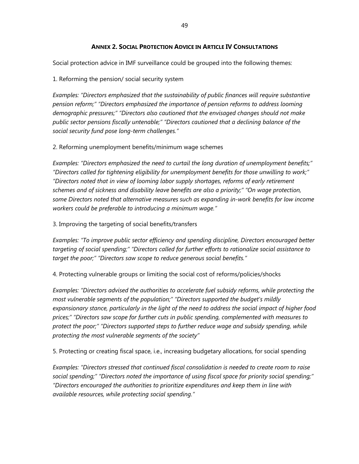## **ANNEX 2. SOCIAL PROTECTION ADVICE IN ARTICLE IV CONSULTATIONS**

Social protection advice in IMF surveillance could be grouped into the following themes:

1. Reforming the pension/ social security system

*Examples: "Directors emphasized that the sustainability of public finances will require substantive pension reform;" "Directors emphasized the importance of pension reforms to address looming demographic pressures;" "Directors also cautioned that the envisaged changes should not make public sector pensions fiscally untenable;" "Directors cautioned that a declining balance of the social security fund pose long-term challenges."* 

2. Reforming unemployment benefits/minimum wage schemes

*Examples: "Directors emphasized the need to curtail the long duration of unemployment benefits;" "Directors called for tightening eligibility for unemployment benefits for those unwilling to work;" "Directors noted that in view of looming labor supply shortages, reforms of early retirement schemes and of sickness and disability leave benefits are also a priority;" "On wage protection, some Directors noted that alternative measures such as expanding in-work benefits for low income workers could be preferable to introducing a minimum wage."* 

3. Improving the targeting of social benefits/transfers

*Examples: "To improve public sector efficiency and spending discipline, Directors encouraged better targeting of social spending;" "Directors called for further efforts to rationalize social assistance to target the poor;" "Directors saw scope to reduce generous social benefits."* 

4. Protecting vulnerable groups or limiting the social cost of reforms/policies/shocks

*Examples: "Directors advised the authorities to accelerate fuel subsidy reforms, while protecting the most vulnerable segments of the population;" "Directors supported the budget's mildly expansionary stance, particularly in the light of the need to address the social impact of higher food prices;" "Directors saw scope for further cuts in public spending, complemented with measures to protect the poor;" "Directors supported steps to further reduce wage and subsidy spending, while protecting the most vulnerable segments of the society"* 

5. Protecting or creating fiscal space, i.e., increasing budgetary allocations, for social spending

*Examples: "Directors stressed that continued fiscal consolidation is needed to create room to raise social spending;" "Directors noted the importance of using fiscal space for priority social spending;" "Directors encouraged the authorities to prioritize expenditures and keep them in line with available resources, while protecting social spending."*